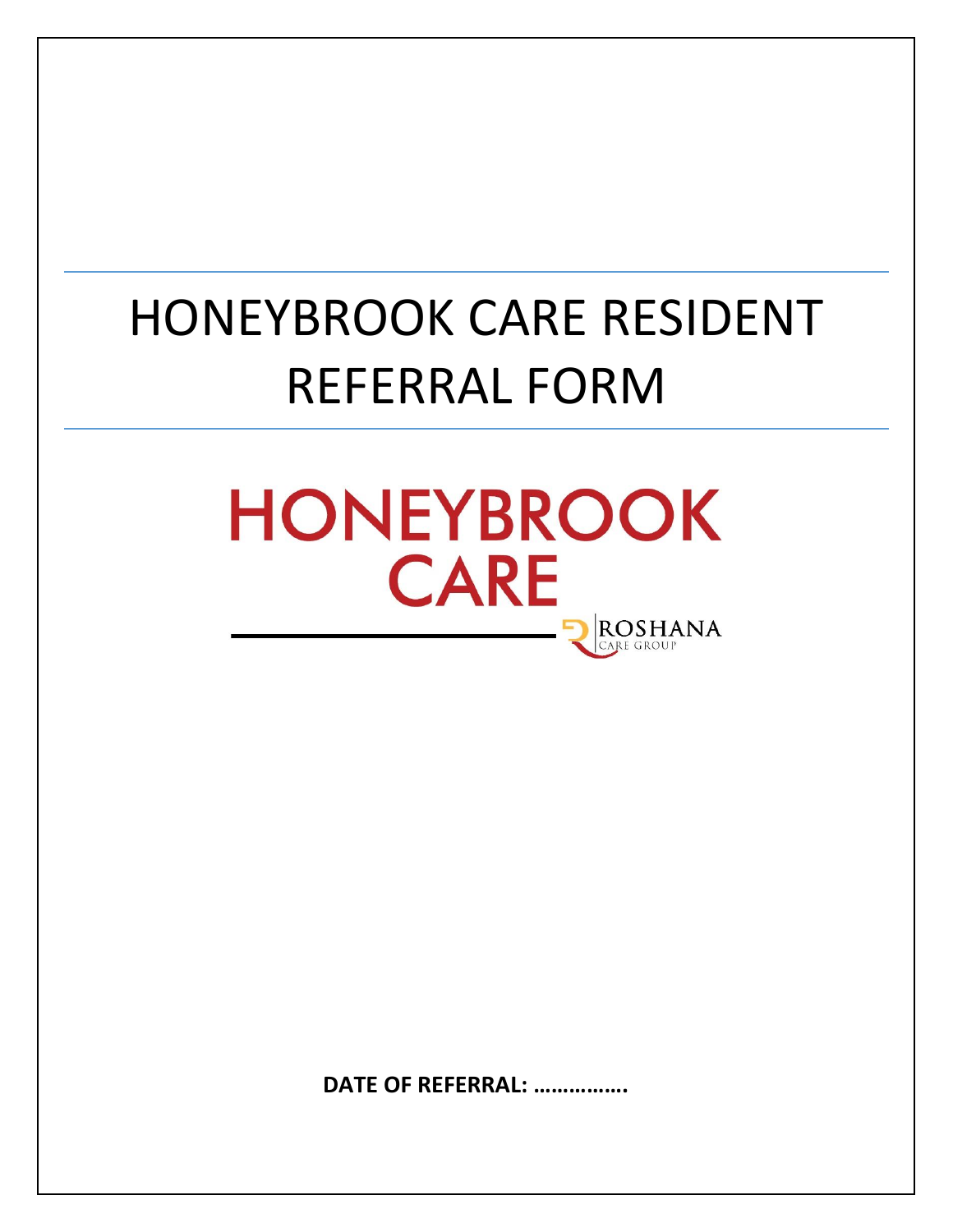# HONEYBROOK CARE RESIDENT REFERRAL FORM



**DATE OF REFERRAL: …………….**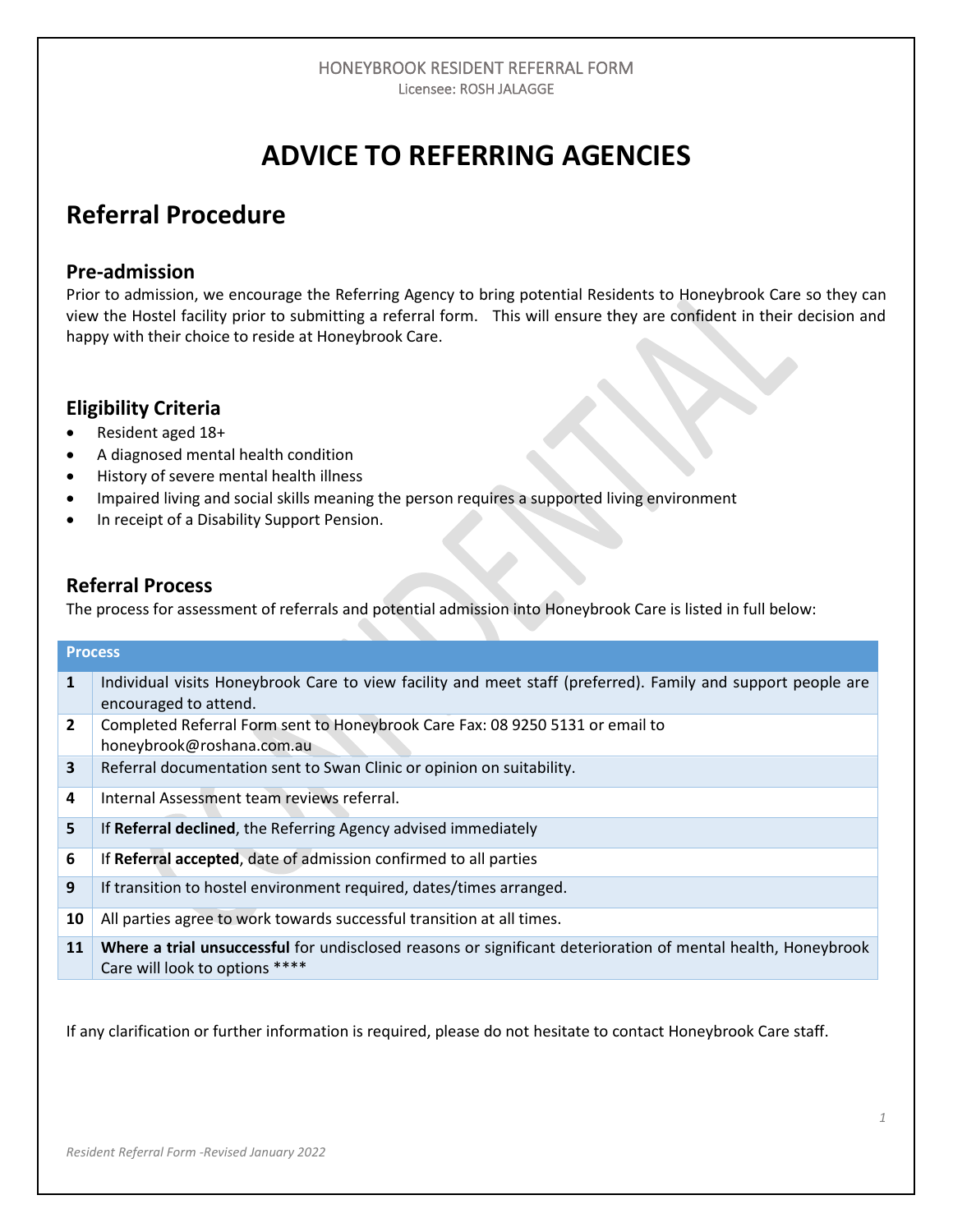# **ADVICE TO REFERRING AGENCIES**

# **Referral Procedure**

## **Pre-admission**

Prior to admission, we encourage the Referring Agency to bring potential Residents to Honeybrook Care so they can view the Hostel facility prior to submitting a referral form. This will ensure they are confident in their decision and happy with their choice to reside at Honeybrook Care.

### **Eligibility Criteria**

- Resident aged 18+
- A diagnosed mental health condition
- History of severe mental health illness
- Impaired living and social skills meaning the person requires a supported living environment
- In receipt of a Disability Support Pension.

### **Referral Process**

The process for assessment of referrals and potential admission into Honeybrook Care is listed in full below:

|                | <b>Process</b>                                                                                                                                 |
|----------------|------------------------------------------------------------------------------------------------------------------------------------------------|
| $\mathbf{1}$   | Individual visits Honeybrook Care to view facility and meet staff (preferred). Family and support people are<br>encouraged to attend.          |
| $\overline{2}$ | Completed Referral Form sent to Honeybrook Care Fax: 08 9250 5131 or email to<br>honeybrook@roshana.com.au                                     |
| $\mathbf{3}$   | Referral documentation sent to Swan Clinic or opinion on suitability.                                                                          |
| 4              | Internal Assessment team reviews referral.                                                                                                     |
| 5              | If Referral declined, the Referring Agency advised immediately                                                                                 |
| 6              | If Referral accepted, date of admission confirmed to all parties                                                                               |
| 9              | If transition to hostel environment required, dates/times arranged.                                                                            |
| 10             | All parties agree to work towards successful transition at all times.                                                                          |
| 11             | Where a trial unsuccessful for undisclosed reasons or significant deterioration of mental health, Honeybrook<br>Care will look to options **** |

If any clarification or further information is required, please do not hesitate to contact Honeybrook Care staff.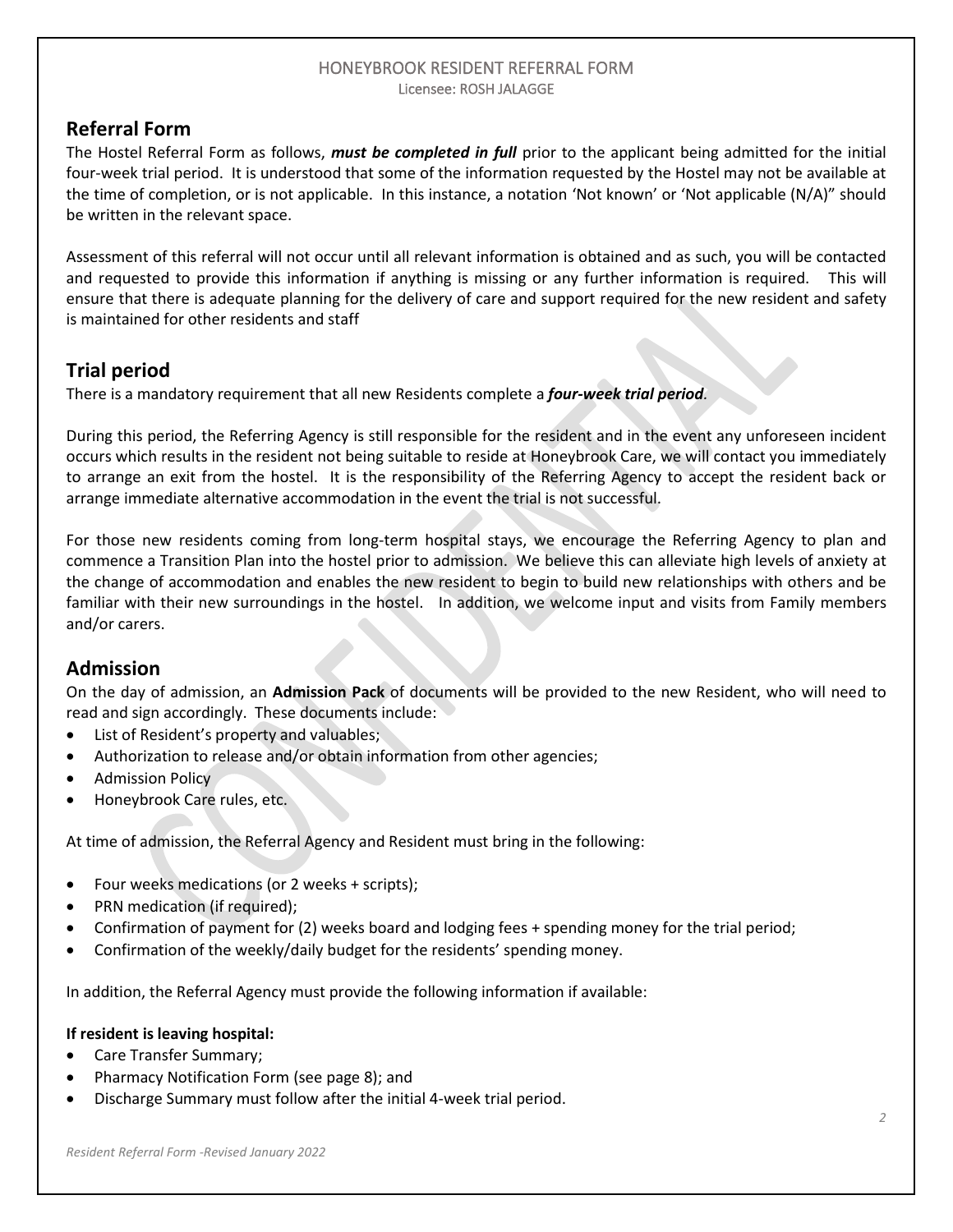# **Referral Form**

The Hostel Referral Form as follows, *must be completed in full* prior to the applicant being admitted for the initial four-week trial period. It is understood that some of the information requested by the Hostel may not be available at the time of completion, or is not applicable. In this instance, a notation 'Not known' or 'Not applicable (N/A)" should be written in the relevant space.

Assessment of this referral will not occur until all relevant information is obtained and as such, you will be contacted and requested to provide this information if anything is missing or any further information is required. This will ensure that there is adequate planning for the delivery of care and support required for the new resident and safety is maintained for other residents and staff

# **Trial period**

There is a mandatory requirement that all new Residents complete a *four-week trial period.* 

During this period, the Referring Agency is still responsible for the resident and in the event any unforeseen incident occurs which results in the resident not being suitable to reside at Honeybrook Care, we will contact you immediately to arrange an exit from the hostel. It is the responsibility of the Referring Agency to accept the resident back or arrange immediate alternative accommodation in the event the trial is not successful.

For those new residents coming from long-term hospital stays, we encourage the Referring Agency to plan and commence a Transition Plan into the hostel prior to admission. We believe this can alleviate high levels of anxiety at the change of accommodation and enables the new resident to begin to build new relationships with others and be familiar with their new surroundings in the hostel. In addition, we welcome input and visits from Family members and/or carers.

# **Admission**

On the day of admission, an **Admission Pack** of documents will be provided to the new Resident, who will need to read and sign accordingly. These documents include:

- List of Resident's property and valuables;
- Authorization to release and/or obtain information from other agencies;
- Admission Policy
- Honeybrook Care rules, etc.

At time of admission, the Referral Agency and Resident must bring in the following:

- Four weeks medications (or 2 weeks + scripts);
- PRN medication (if required);
- Confirmation of payment for (2) weeks board and lodging fees + spending money for the trial period;
- Confirmation of the weekly/daily budget for the residents' spending money.

In addition, the Referral Agency must provide the following information if available:

### **If resident is leaving hospital:**

- Care Transfer Summary;
- Pharmacy Notification Form (see page 8); and
- Discharge Summary must follow after the initial 4-week trial period.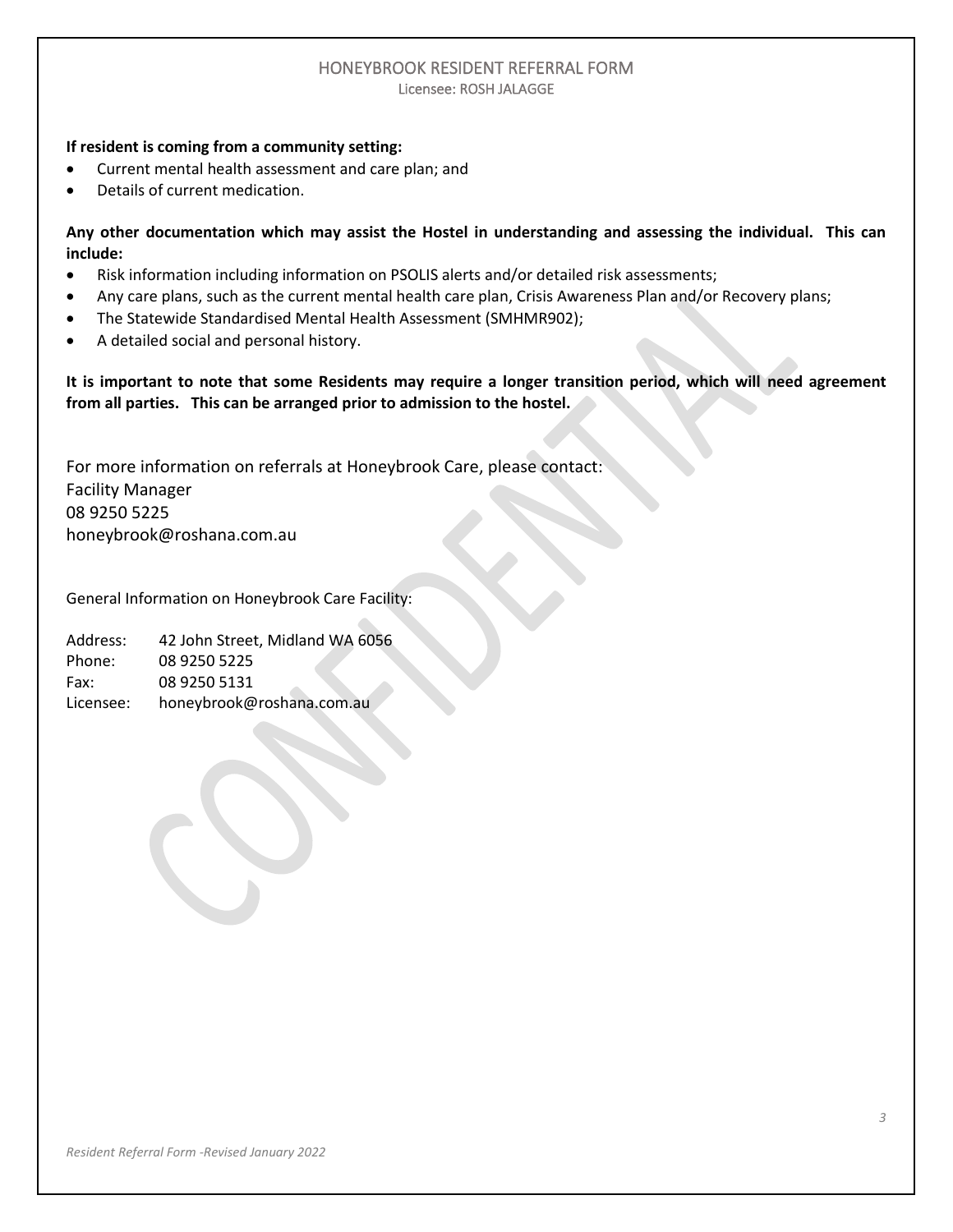#### **If resident is coming from a community setting:**

- Current mental health assessment and care plan; and
- Details of current medication.

**Any other documentation which may assist the Hostel in understanding and assessing the individual. This can include:**

- Risk information including information on PSOLIS alerts and/or detailed risk assessments;
- Any care plans, such as the current mental health care plan, Crisis Awareness Plan and/or Recovery plans;
- The Statewide Standardised Mental Health Assessment (SMHMR902);
- A detailed social and personal history.

**It is important to note that some Residents may require a longer transition period, which will need agreement from all parties. This can be arranged prior to admission to the hostel.**

For more information on referrals at Honeybrook Care, please contact: Facility Manager 08 9250 5225 [honeybrook@roshana.com.au](mailto:honeybrook@roshana.com.au)

General Information on Honeybrook Care Facility:

Address: 42 John Street, Midland WA 6056 Phone: 08 9250 5225 Fax: 08 9250 5131 Licensee: honeybrook@roshana.com.au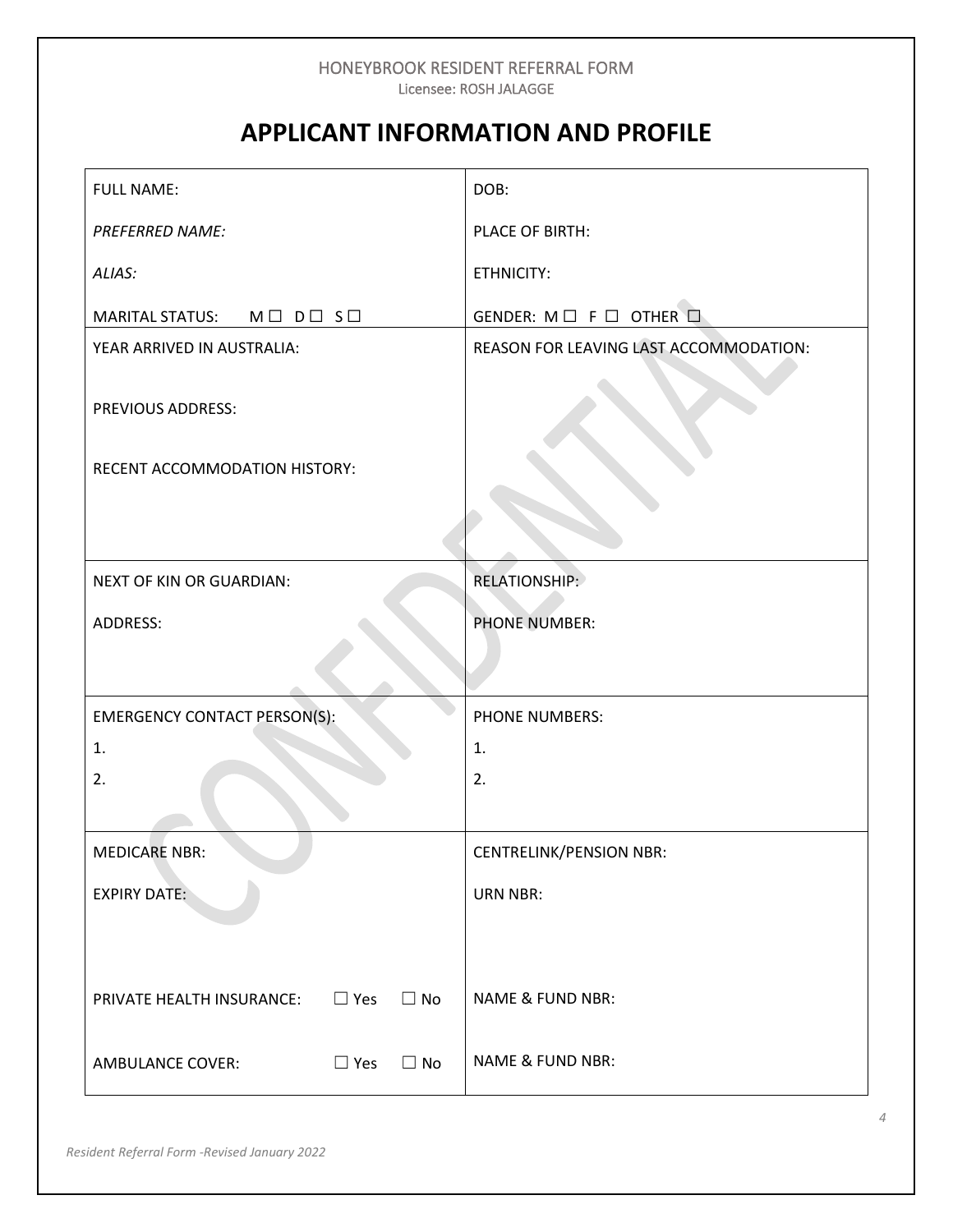# **APPLICANT INFORMATION AND PROFILE**

| <b>FULL NAME:</b>                                    | DOB:                                          |
|------------------------------------------------------|-----------------------------------------------|
| <b>PREFERRED NAME:</b>                               | PLACE OF BIRTH:                               |
| ALIAS:                                               | ETHNICITY:                                    |
| MARITAL STATUS: M $\Box$ D $\Box$ S $\Box$           | GENDER: $M \square F \square$ OTHER $\square$ |
| YEAR ARRIVED IN AUSTRALIA:                           | REASON FOR LEAVING LAST ACCOMMODATION:        |
| PREVIOUS ADDRESS:                                    |                                               |
| RECENT ACCOMMODATION HISTORY:                        |                                               |
|                                                      |                                               |
| NEXT OF KIN OR GUARDIAN:                             | <b>RELATIONSHIP:</b>                          |
| ADDRESS:                                             | <b>PHONE NUMBER:</b>                          |
|                                                      |                                               |
| <b>EMERGENCY CONTACT PERSON(S):</b>                  | PHONE NUMBERS:                                |
| 1.                                                   | 1.                                            |
| 2.                                                   | 2.                                            |
|                                                      |                                               |
| <b>MEDICARE NBR:</b>                                 | <b>CENTRELINK/PENSION NBR:</b>                |
| <b>EXPIRY DATE:</b>                                  | <b>URN NBR:</b>                               |
|                                                      |                                               |
|                                                      |                                               |
| $\Box$ Yes<br>PRIVATE HEALTH INSURANCE:<br>$\Box$ No | <b>NAME &amp; FUND NBR:</b>                   |
| <b>AMBULANCE COVER:</b><br>$\Box$ Yes<br>$\Box$ No   | <b>NAME &amp; FUND NBR:</b>                   |
|                                                      |                                               |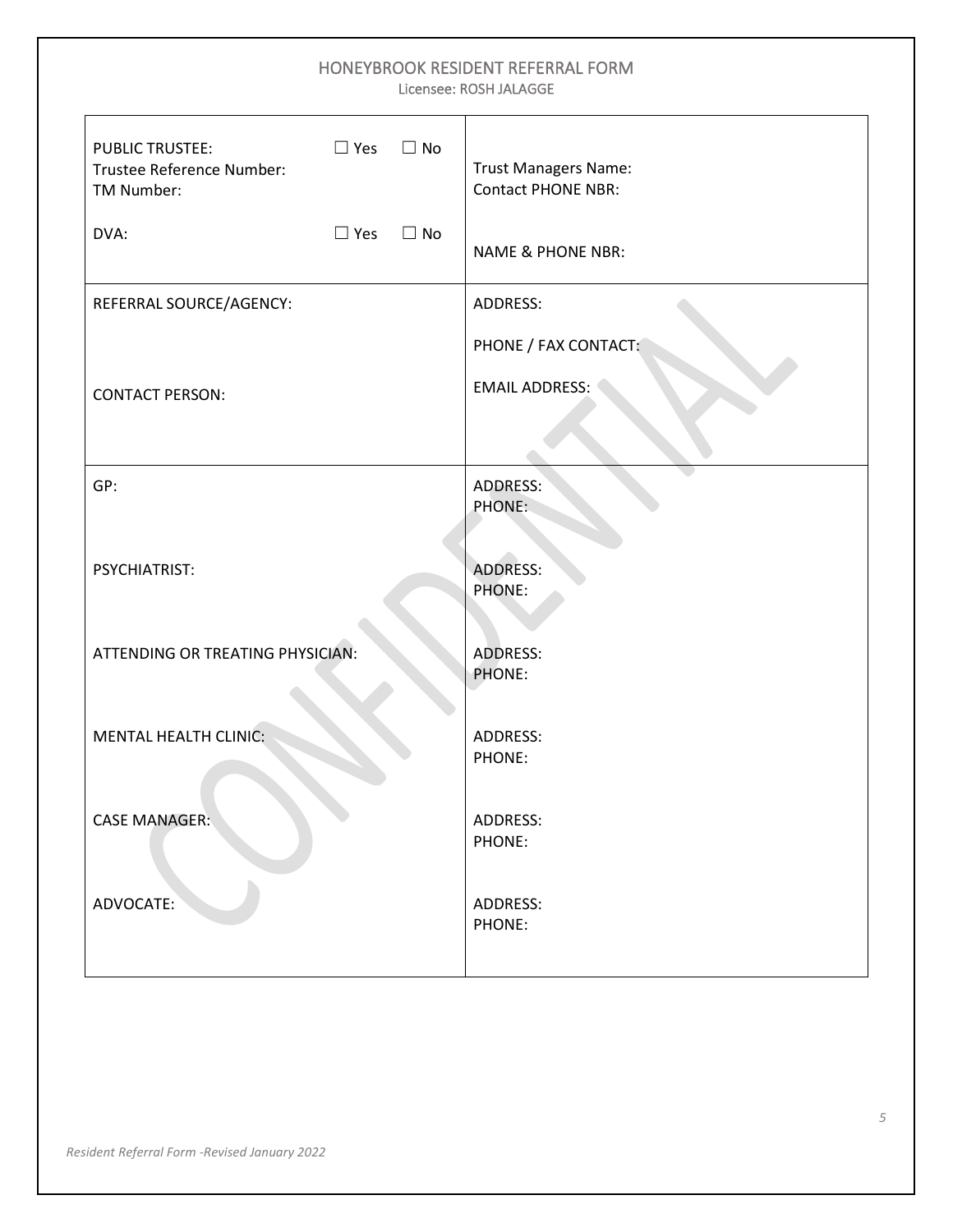| HONEYBROOK RESIDENT REFERRAL FORM<br>Licensee: ROSH JALAGGE                                  |                                                          |  |  |  |
|----------------------------------------------------------------------------------------------|----------------------------------------------------------|--|--|--|
| <b>PUBLIC TRUSTEE:</b><br>$\Box$ Yes<br>$\Box$ No<br>Trustee Reference Number:<br>TM Number: | <b>Trust Managers Name:</b><br><b>Contact PHONE NBR:</b> |  |  |  |
| DVA:<br>$\Box$ Yes<br>$\Box$ No                                                              | <b>NAME &amp; PHONE NBR:</b>                             |  |  |  |
| REFERRAL SOURCE/AGENCY:                                                                      | ADDRESS:                                                 |  |  |  |
|                                                                                              | PHONE / FAX CONTACT:                                     |  |  |  |
| <b>CONTACT PERSON:</b>                                                                       | <b>EMAIL ADDRESS:</b>                                    |  |  |  |
|                                                                                              |                                                          |  |  |  |
| GP:                                                                                          | <b>ADDRESS:</b><br>PHONE:                                |  |  |  |
|                                                                                              |                                                          |  |  |  |
| PSYCHIATRIST:                                                                                | <b>ADDRESS:</b>                                          |  |  |  |
|                                                                                              | <b>PHONE:</b>                                            |  |  |  |
| ATTENDING OR TREATING PHYSICIAN:                                                             | <b>ADDRESS:</b>                                          |  |  |  |
|                                                                                              | PHONE:                                                   |  |  |  |
| <b>MENTAL HEALTH CLINIC:</b>                                                                 | ADDRESS:                                                 |  |  |  |
|                                                                                              | PHONE:                                                   |  |  |  |
| <b>CASE MANAGER:</b>                                                                         | ADDRESS:                                                 |  |  |  |
|                                                                                              | PHONE:                                                   |  |  |  |
| ADVOCATE:                                                                                    | ADDRESS:                                                 |  |  |  |
|                                                                                              | PHONE:                                                   |  |  |  |
|                                                                                              |                                                          |  |  |  |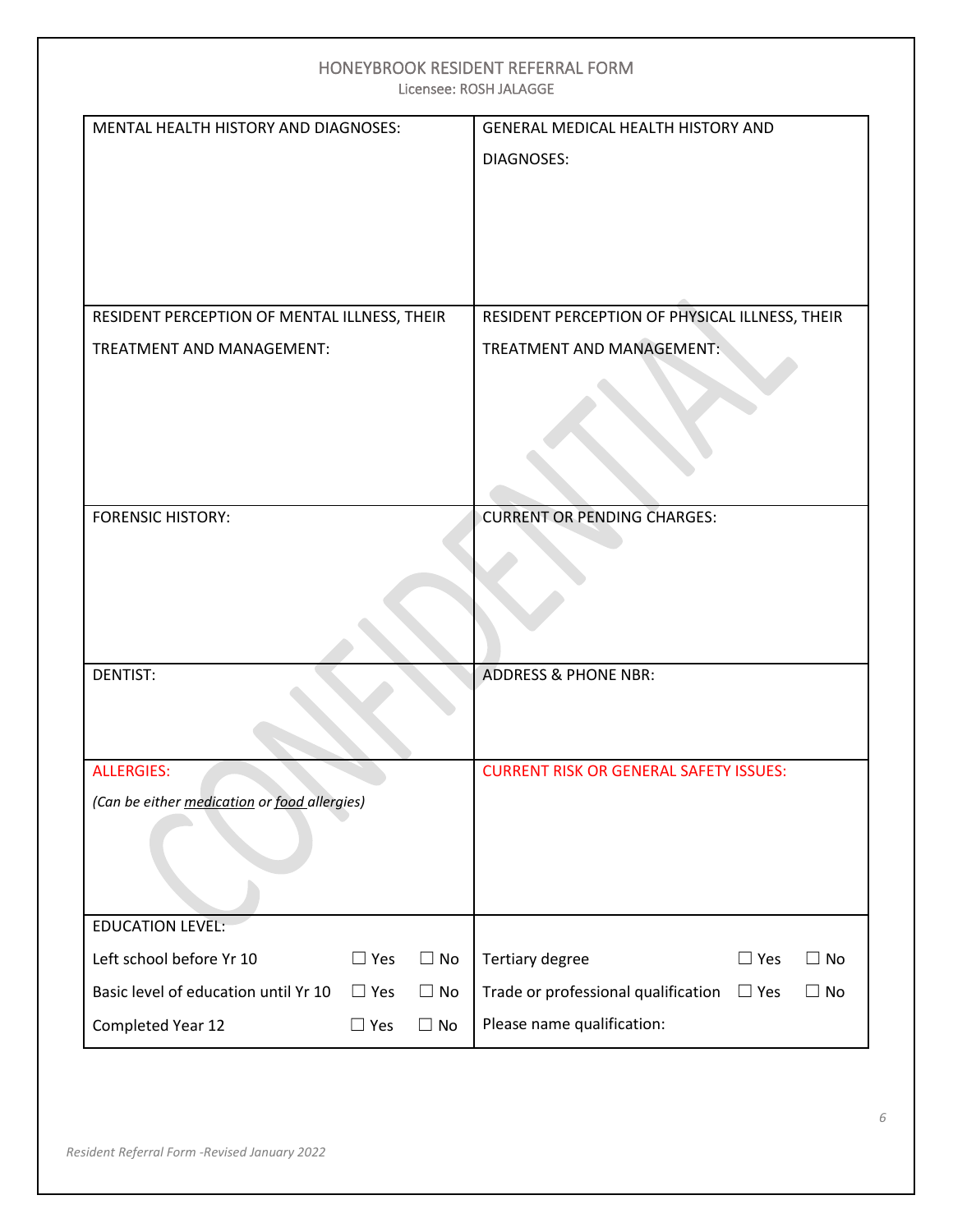| <b>HONEYBROOK RESIDENT REFERRAL FORM</b><br>Licensee: ROSH JALAGGE |                                                             |  |  |  |  |
|--------------------------------------------------------------------|-------------------------------------------------------------|--|--|--|--|
| MENTAL HEALTH HISTORY AND DIAGNOSES:                               | GENERAL MEDICAL HEALTH HISTORY AND<br><b>DIAGNOSES:</b>     |  |  |  |  |
| RESIDENT PERCEPTION OF MENTAL ILLNESS, THEIR                       | RESIDENT PERCEPTION OF PHYSICAL ILLNESS, THEIR              |  |  |  |  |
| TREATMENT AND MANAGEMENT:                                          | TREATMENT AND MANAGEMENT:                                   |  |  |  |  |
| <b>FORENSIC HISTORY:</b>                                           | <b>CURRENT OR PENDING CHARGES:</b>                          |  |  |  |  |
| <b>DENTIST:</b>                                                    | <b>ADDRESS &amp; PHONE NBR:</b>                             |  |  |  |  |
| <b>ALLERGIES:</b><br>(Can be either medication or food allergies)  | <b>CURRENT RISK OR GENERAL SAFETY ISSUES:</b>               |  |  |  |  |
| <b>EDUCATION LEVEL:</b>                                            |                                                             |  |  |  |  |
| Left school before Yr 10<br>$\Box$ Yes<br>$\Box$ No                | Tertiary degree<br>$\Box$ Yes<br>$\Box$ No                  |  |  |  |  |
| Basic level of education until Yr 10<br>$\Box$ Yes<br>$\Box$ No    | Trade or professional qualification $\Box$ Yes<br>$\Box$ No |  |  |  |  |
| Completed Year 12<br>$\Box$ Yes<br>$\Box$ No                       | Please name qualification:                                  |  |  |  |  |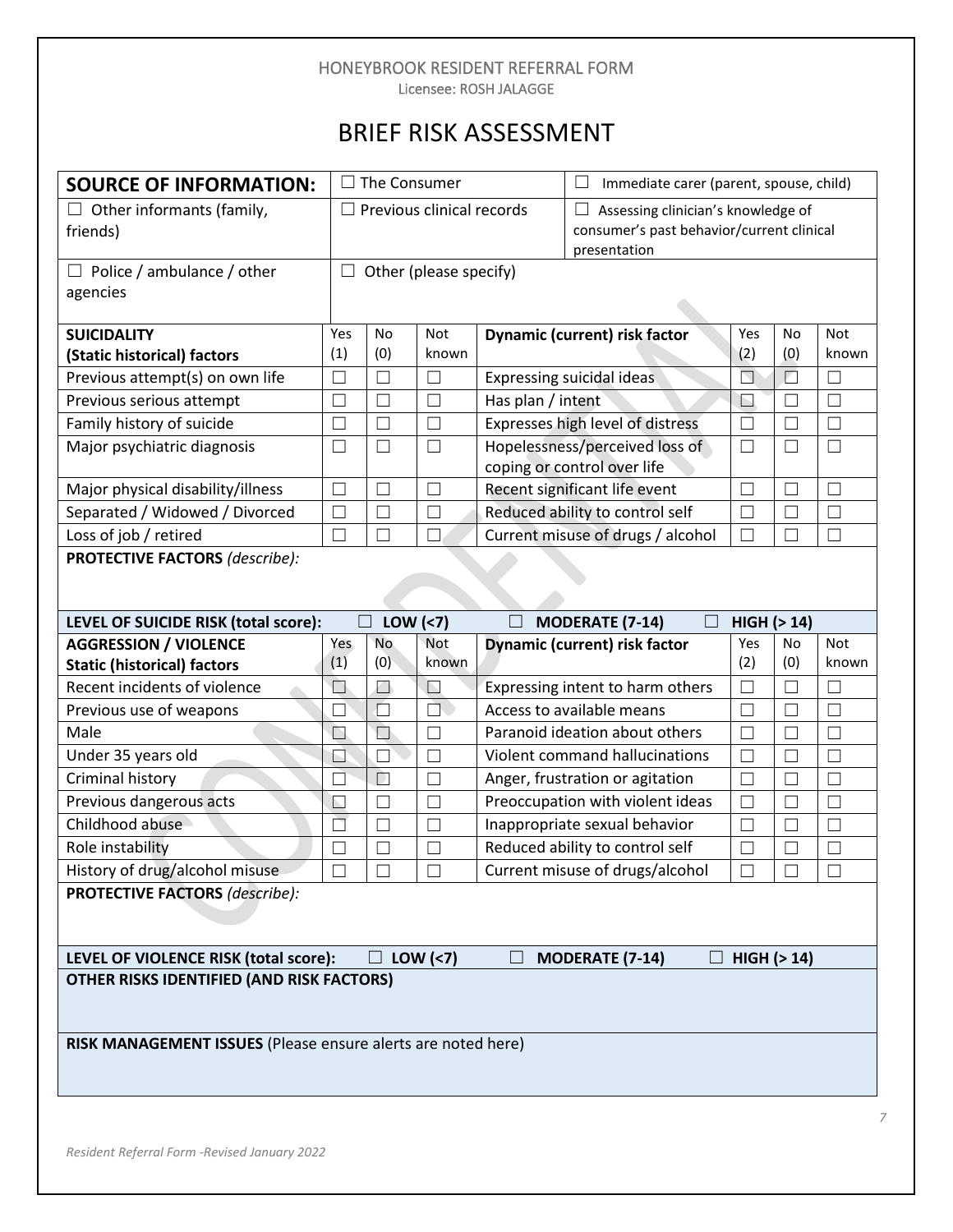# BRIEF RISK ASSESSMENT

| $\Box$ The Consumer<br><b>SOURCE OF INFORMATION:</b>                              |                                       |                                       | Immediate carer (parent, spouse, child) |                                                                 |                                                                                 |                     |                  |                     |
|-----------------------------------------------------------------------------------|---------------------------------------|---------------------------------------|-----------------------------------------|-----------------------------------------------------------------|---------------------------------------------------------------------------------|---------------------|------------------|---------------------|
| $\Box$ Other informants (family,<br>friends)                                      |                                       | $\Box$ Previous clinical records<br>Ш |                                         | presentation                                                    | Assessing clinician's knowledge of<br>consumer's past behavior/current clinical |                     |                  |                     |
| Police / ambulance / other<br>agencies                                            | $\Box$<br>Other (please specify)      |                                       |                                         |                                                                 |                                                                                 |                     |                  |                     |
| <b>SUICIDALITY</b>                                                                | Yes<br>(1)                            | No<br>(0)                             | <b>Not</b><br>known                     |                                                                 | Dynamic (current) risk factor                                                   | Yes<br>(2)          | <b>No</b><br>(0) | <b>Not</b><br>known |
| (Static historical) factors<br>Previous attempt(s) on own life                    | $\Box$                                | $\Box$                                | $\Box$                                  |                                                                 | Expressing suicidal ideas                                                       | $\Box$              | П                | $\Box$              |
| Previous serious attempt                                                          | П                                     | $\Box$                                | $\Box$                                  | Has plan / intent                                               |                                                                                 | N                   | $\Box$           | $\Box$              |
| Family history of suicide                                                         | П                                     | $\Box$                                | $\Box$                                  |                                                                 | Expresses high level of distress                                                | $\mathbf{L}$        | П                | $\Box$              |
| Major psychiatric diagnosis                                                       | $\Box$                                | $\Box$                                | $\Box$                                  |                                                                 | Hopelessness/perceived loss of<br>coping or control over life                   | $\Box$              | $\Box$           | $\Box$              |
| Major physical disability/illness                                                 | П                                     | $\mathbf{L}$                          | П                                       |                                                                 | Recent significant life event                                                   | L.                  | П                | П                   |
| Separated / Widowed / Divorced                                                    | $\Box$                                | П                                     | $\Box$                                  |                                                                 | Reduced ability to control self                                                 | Г                   | $\Box$           | $\Box$              |
| Loss of job / retired                                                             | $\Box$                                | $\Box$                                | П                                       |                                                                 | Current misuse of drugs / alcohol                                               | L.                  | П                | П                   |
|                                                                                   | <b>PROTECTIVE FACTORS (describe):</b> |                                       |                                         |                                                                 |                                                                                 |                     |                  |                     |
| LEVEL OF SUICIDE RISK (total score):<br>$\Box$<br>LOW <sub>(</sub> <sub>7</sub> ) |                                       |                                       |                                         | <b>MODERATE (7-14)</b><br>$\vert \ \ \vert$                     | HIGH (> 14)                                                                     |                     |                  |                     |
| <b>AGGRESSION / VIOLENCE</b><br><b>Static (historical) factors</b>                | Yes<br>(1)                            | No.<br>(0)                            | <b>Not</b><br>known                     | Dynamic (current) risk factor<br>Yes<br><b>No</b><br>(2)<br>(0) |                                                                                 | <b>Not</b><br>known |                  |                     |
|                                                                                   |                                       |                                       |                                         |                                                                 |                                                                                 |                     |                  |                     |
|                                                                                   |                                       |                                       |                                         |                                                                 |                                                                                 |                     |                  |                     |
| Recent incidents of violence                                                      | ◘<br>Г                                | ◘                                     | $\Box$                                  |                                                                 | Expressing intent to harm others                                                |                     | Г                | $\Box$              |
| Previous use of weapons                                                           | $\Box$                                | $\Box$                                | È<br>П                                  |                                                                 | Access to available means                                                       | Г<br>H              | $\Box$<br>П      | $\Box$              |
| Male                                                                              | Ы                                     | $\Box$<br>$\Box$                      | П                                       |                                                                 | Paranoid ideation about others<br>Violent command hallucinations                |                     | П                | $\Box$<br>$\Box$    |
| Under 35 years old                                                                | Г                                     | $\Box$                                | $\Box$                                  |                                                                 |                                                                                 | $\Box$              | П                | $\Box$              |
| Criminal history<br>Previous dangerous acts                                       | $\Box$                                | $\Box$                                | $\Box$                                  |                                                                 | Anger, frustration or agitation<br>Preoccupation with violent ideas             | П                   | $\Box$           | $\Box$              |
| Childhood abuse                                                                   | Г                                     | ┌                                     | П                                       |                                                                 | Inappropriate sexual behavior                                                   | M.                  | П                | П                   |
| Role instability                                                                  | П                                     | П                                     | П                                       |                                                                 | Reduced ability to control self                                                 | П                   | $\Box$           | П                   |
| History of drug/alcohol misuse                                                    |                                       |                                       |                                         |                                                                 | Current misuse of drugs/alcohol                                                 |                     |                  | $\vert \ \ \vert$   |
| <b>PROTECTIVE FACTORS (describe):</b>                                             |                                       |                                       |                                         |                                                                 |                                                                                 |                     |                  |                     |
| LEVEL OF VIOLENCE RISK (total score):                                             |                                       |                                       | LOW <sub>(</sub> <sub>7</sub> )         |                                                                 | <b>MODERATE (7-14)</b>                                                          | $HIGH$ ( $>14$ )    |                  |                     |
| <b>OTHER RISKS IDENTIFIED (AND RISK FACTORS)</b>                                  |                                       |                                       |                                         |                                                                 |                                                                                 |                     |                  |                     |
| RISK MANAGEMENT ISSUES (Please ensure alerts are noted here)                      |                                       |                                       |                                         |                                                                 |                                                                                 |                     |                  |                     |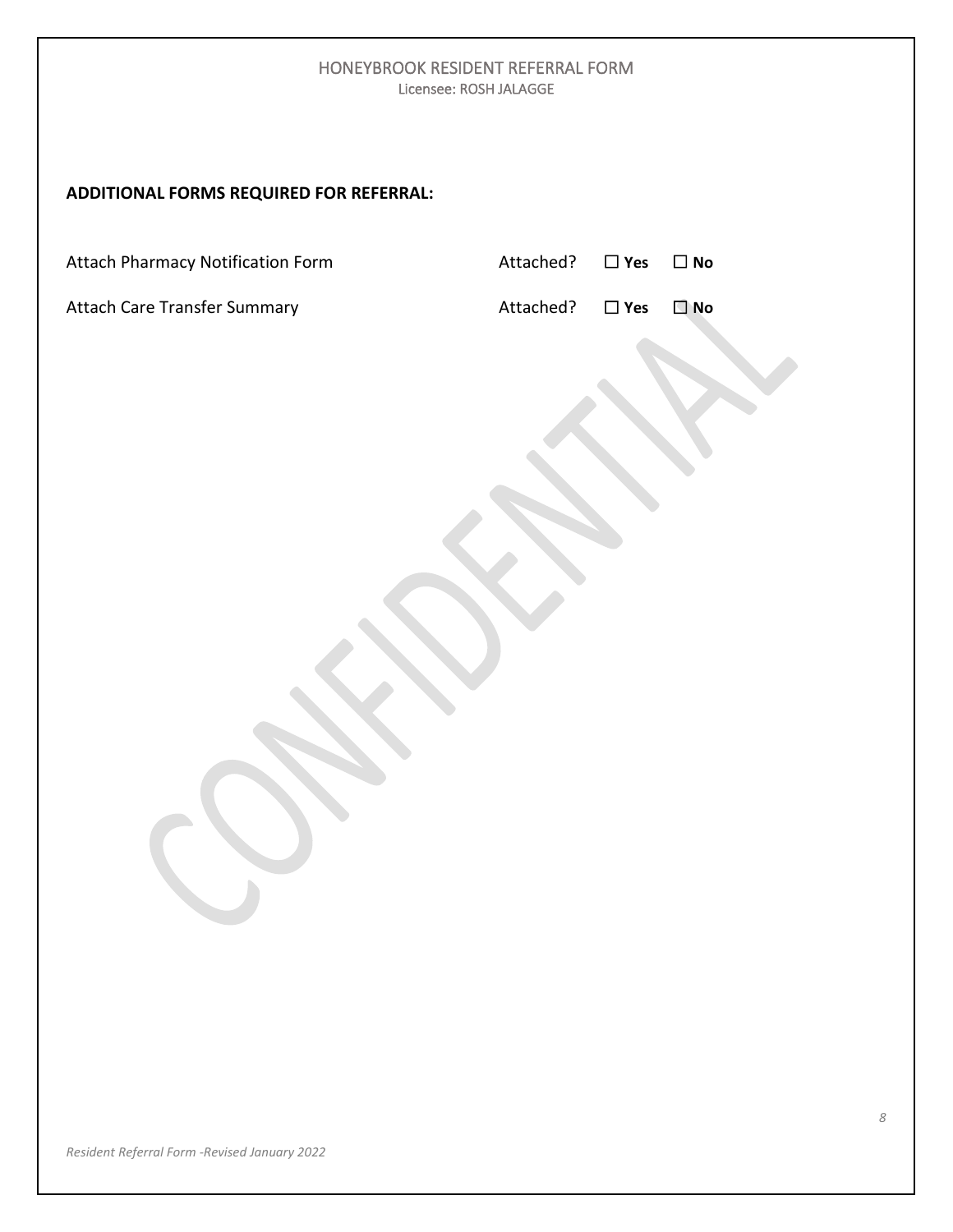### **ADDITIONAL FORMS REQUIRED FOR REFERRAL:**

Attach Pharmacy Notification Form Attached?☐ **Yes** ☐ **No**

**Attach Care Transfer Summary Attached** 

| Attached? | $\Box$ Yes | $\Box$ No |
|-----------|------------|-----------|
|           |            |           |

| $\Box$ No<br>$\Box$ Yes<br>.ttached? |  |
|--------------------------------------|--|
|--------------------------------------|--|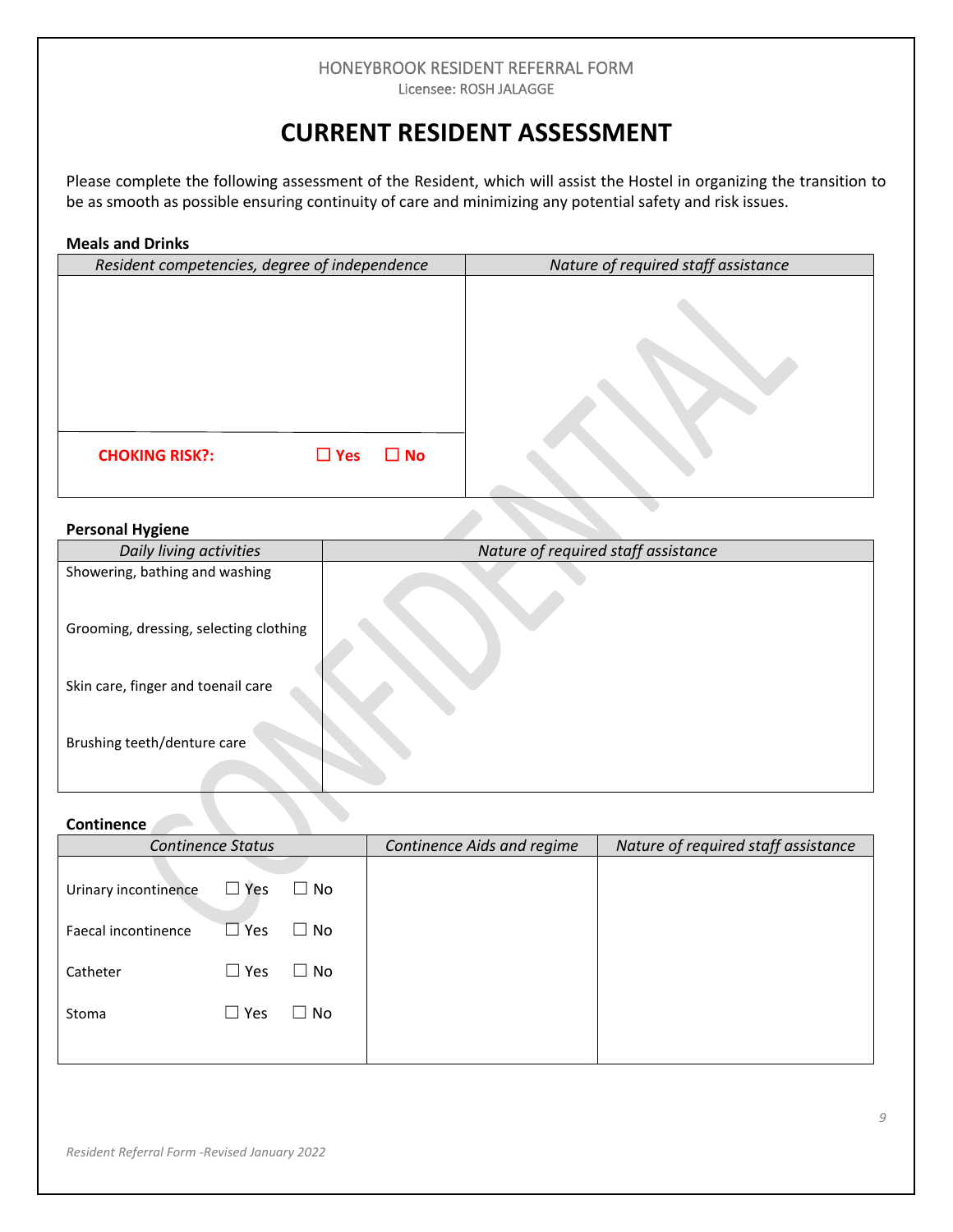# **CURRENT RESIDENT ASSESSMENT**

Please complete the following assessment of the Resident, which will assist the Hostel in organizing the transition to be as smooth as possible ensuring continuity of care and minimizing any potential safety and risk issues.

| <b>Meals and Drinks</b>                             |                                     |
|-----------------------------------------------------|-------------------------------------|
| Resident competencies, degree of independence       | Nature of required staff assistance |
| $\Box$ Yes<br>$\square$ No<br><b>CHOKING RISK?:</b> |                                     |
|                                                     |                                     |

#### **Personal Hygiene**

| Daily living activities                | Nature of required staff assistance |
|----------------------------------------|-------------------------------------|
| Showering, bathing and washing         |                                     |
| Grooming, dressing, selecting clothing |                                     |
| Skin care, finger and toenail care     |                                     |
| Brushing teeth/denture care            |                                     |

# **Continence**

|                      | <b>Continence Status</b> |               | Continence Aids and regime | Nature of required staff assistance |
|----------------------|--------------------------|---------------|----------------------------|-------------------------------------|
| Urinary incontinence | $\Box$ Yes               | $\Box$ No     |                            |                                     |
| Faecal incontinence  | l Yes<br>$\Box$          | No.<br>$\Box$ |                            |                                     |
| Catheter             | $\Box$ Yes               | $\Box$ No     |                            |                                     |
| Stoma                | $\Box$ Yes               | $\Box$ No     |                            |                                     |
|                      |                          |               |                            |                                     |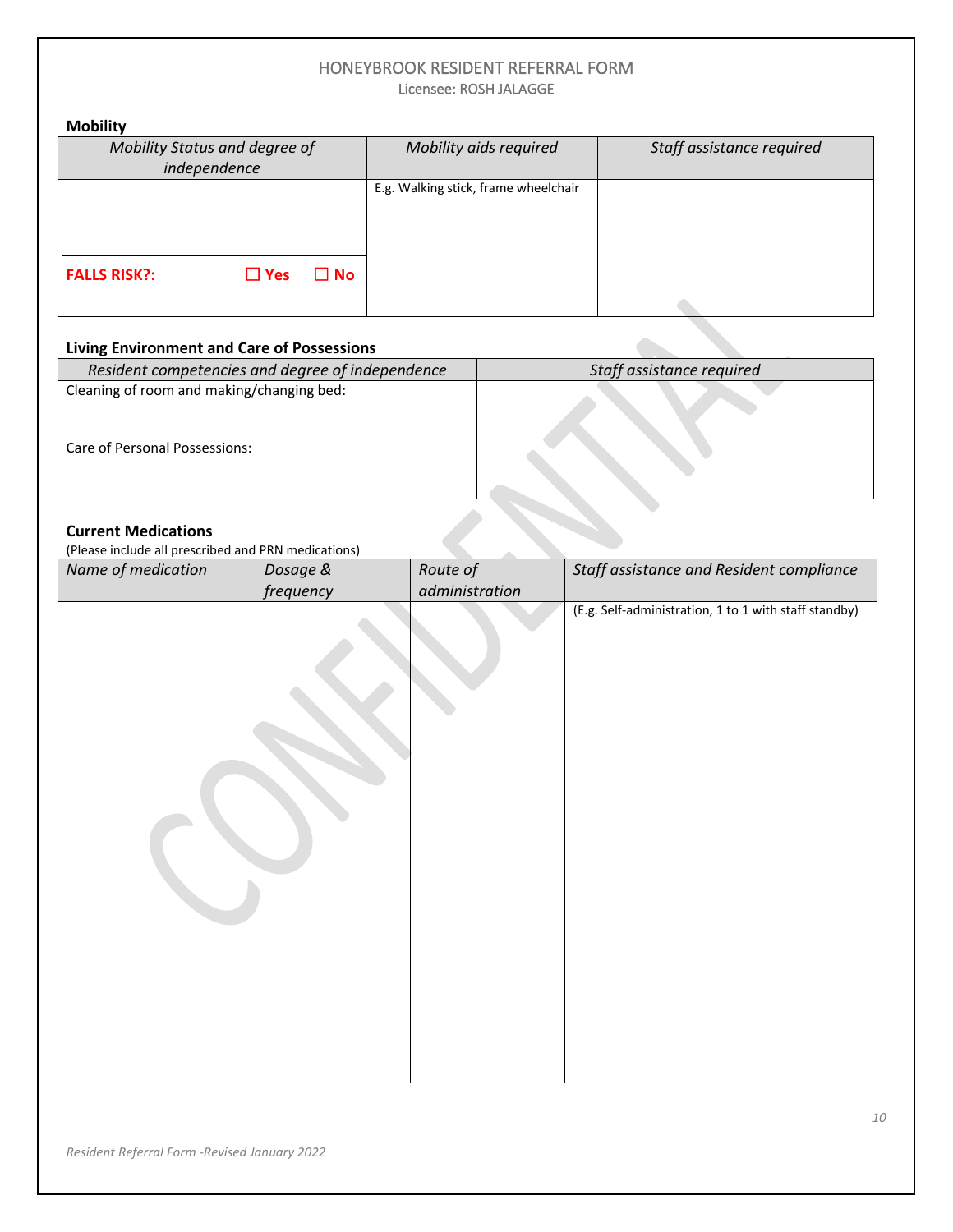# HONEYBROOK RESIDENT REFERRAL FORM

Licensee: ROSH JALAGGE

| <b>Mobility</b>                                   |                                      |                           |  |  |  |
|---------------------------------------------------|--------------------------------------|---------------------------|--|--|--|
| Mobility Status and degree of<br>independence     | Mobility aids required               | Staff assistance required |  |  |  |
| $\square$ No<br><b>FALLS RISK?:</b><br>$\Box$ Yes | E.g. Walking stick, frame wheelchair |                           |  |  |  |
|                                                   |                                      |                           |  |  |  |

### **Living Environment and Care of Possessions**

| <b>Living Environment and Care of Possessions</b>                                 |                           |
|-----------------------------------------------------------------------------------|---------------------------|
| Resident competencies and degree of independence                                  | Staff assistance required |
| Cleaning of room and making/changing bed:                                         |                           |
| Care of Personal Possessions:                                                     |                           |
| <b>Current Medications</b><br>(Please include all prescribed and PRN medications) |                           |

#### **Current Medications**

| Name of medication | Dosage &  | Route of       | Staff assistance and Resident compliance              |
|--------------------|-----------|----------------|-------------------------------------------------------|
|                    | frequency | administration |                                                       |
|                    |           |                | (E.g. Self-administration, 1 to 1 with staff standby) |
|                    |           |                |                                                       |
|                    |           |                |                                                       |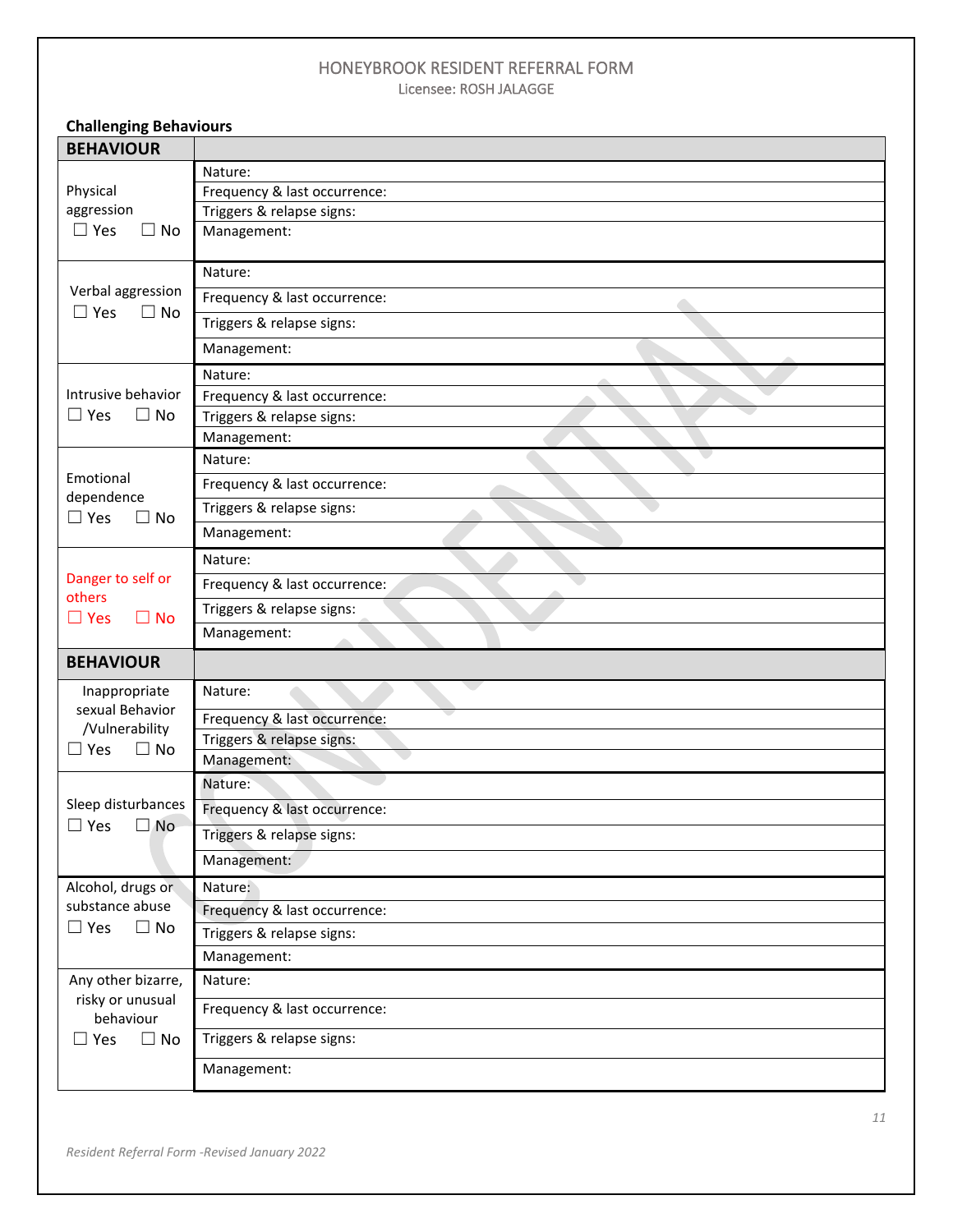| <b>Challenging Behaviours</b>                       |                              |  |  |  |
|-----------------------------------------------------|------------------------------|--|--|--|
| <b>BEHAVIOUR</b>                                    |                              |  |  |  |
|                                                     | Nature:                      |  |  |  |
| Physical                                            | Frequency & last occurrence: |  |  |  |
| aggression                                          | Triggers & relapse signs:    |  |  |  |
| $\Box$ Yes<br>$\Box$ No                             | Management:                  |  |  |  |
|                                                     | Nature:                      |  |  |  |
| Verbal aggression<br>$\Box$ Yes<br>$\Box$ No        | Frequency & last occurrence: |  |  |  |
|                                                     | Triggers & relapse signs:    |  |  |  |
|                                                     | Management:                  |  |  |  |
|                                                     | Nature:                      |  |  |  |
| Intrusive behavior                                  | Frequency & last occurrence: |  |  |  |
| $\Box$ Yes<br>$\Box$ No                             | Triggers & relapse signs:    |  |  |  |
|                                                     | Management:                  |  |  |  |
|                                                     | Nature:                      |  |  |  |
| Emotional<br>dependence                             | Frequency & last occurrence: |  |  |  |
| $\Box$ Yes<br>$\Box$ No                             | Triggers & relapse signs:    |  |  |  |
|                                                     | Management:                  |  |  |  |
|                                                     | Nature:                      |  |  |  |
| Danger to self or<br>others                         | Frequency & last occurrence: |  |  |  |
| $\Box$ Yes<br>$\Box$ No                             | Triggers & relapse signs:    |  |  |  |
|                                                     | Management:                  |  |  |  |
| <b>BEHAVIOUR</b>                                    |                              |  |  |  |
| Inappropriate                                       | Nature:                      |  |  |  |
| sexual Behavior<br>/Vulnerability                   | Frequency & last occurrence: |  |  |  |
| $\Box$ Yes<br>$\Box$ No                             | Triggers & relapse signs:    |  |  |  |
|                                                     | Management:                  |  |  |  |
|                                                     | Nature:                      |  |  |  |
| Sleep disturbances<br>$\square$ Yes<br>$\square$ No | Frequency & last occurrence: |  |  |  |
|                                                     | Triggers & relapse signs:    |  |  |  |
|                                                     | Management:                  |  |  |  |
| Alcohol, drugs or                                   | Nature:                      |  |  |  |
| substance abuse                                     | Frequency & last occurrence: |  |  |  |
| $\Box$ Yes<br>$\Box$ No                             | Triggers & relapse signs:    |  |  |  |
|                                                     | Management:                  |  |  |  |
| Any other bizarre,                                  | Nature:                      |  |  |  |
| risky or unusual<br>behaviour                       | Frequency & last occurrence: |  |  |  |
| Yes<br>$\Box$ No                                    | Triggers & relapse signs:    |  |  |  |
|                                                     | Management:                  |  |  |  |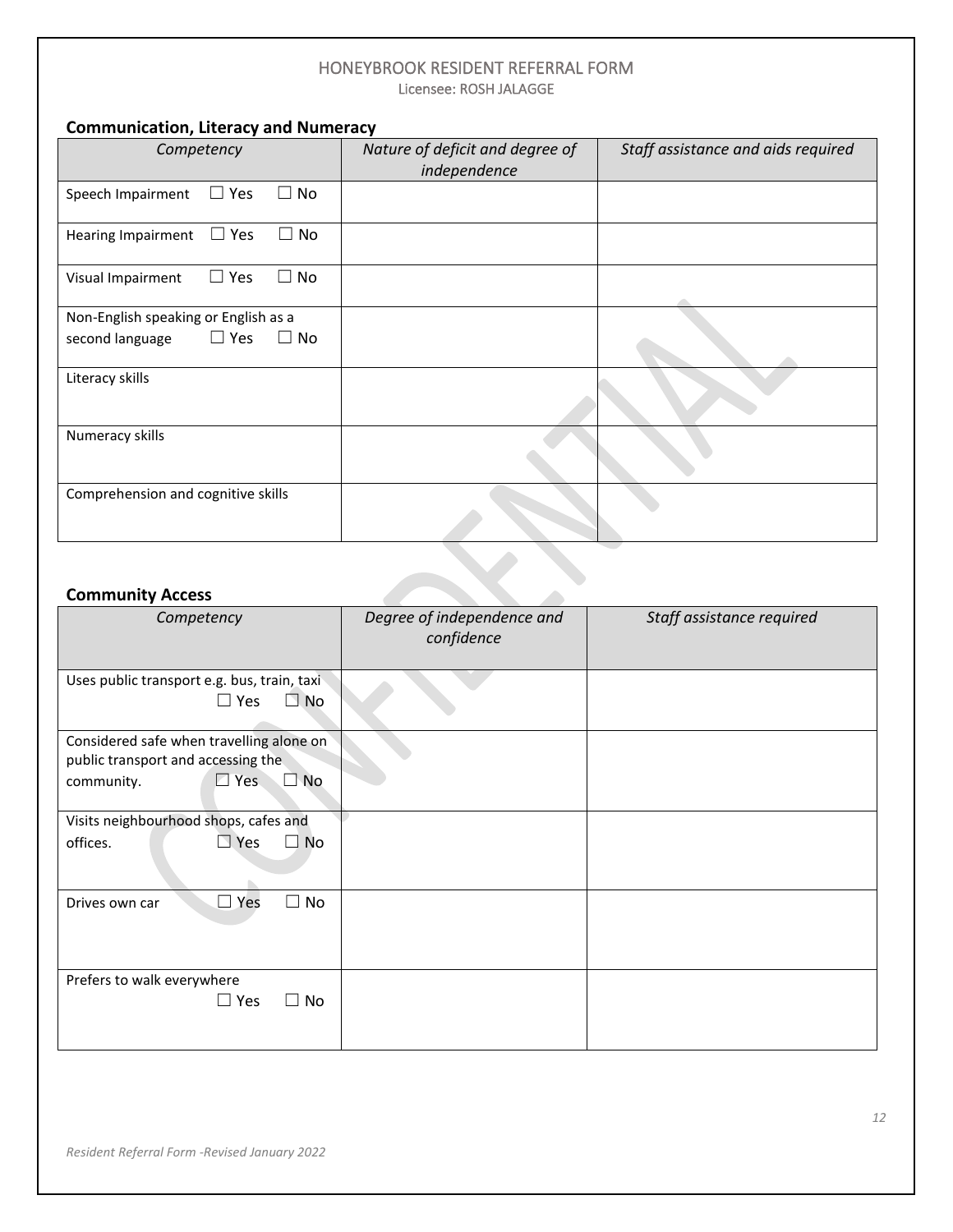### **Communication, Literacy and Numeracy**

| Competency                                                                         | Nature of deficit and degree of<br>independence | Staff assistance and aids required |
|------------------------------------------------------------------------------------|-------------------------------------------------|------------------------------------|
| $\square$ No<br>$\Box$ Yes<br>Speech Impairment                                    |                                                 |                                    |
| $\Box$ Yes<br>$\Box$ No<br><b>Hearing Impairment</b>                               |                                                 |                                    |
| $\Box$ No<br>$\Box$ Yes<br>Visual Impairment                                       |                                                 |                                    |
| Non-English speaking or English as a<br>$\Box$ No<br>$\Box$ Yes<br>second language |                                                 |                                    |
| Literacy skills                                                                    |                                                 |                                    |
| Numeracy skills                                                                    |                                                 |                                    |
| Comprehension and cognitive skills                                                 |                                                 |                                    |

### **Community Access**

| Competency                                                                                                              | Degree of independence and<br>confidence | Staff assistance required |
|-------------------------------------------------------------------------------------------------------------------------|------------------------------------------|---------------------------|
| Uses public transport e.g. bus, train, taxi<br>$\Box$ Yes<br>$\Box$ No                                                  |                                          |                           |
| Considered safe when travelling alone on<br>public transport and accessing the<br>$\Box$ Yes<br>$\Box$ No<br>community. |                                          |                           |
| Visits neighbourhood shops, cafes and                                                                                   |                                          |                           |
| $\Box$ Yes<br>offices.<br>$\square$ No                                                                                  |                                          |                           |
| $\Box$ Yes<br>П<br>No<br>Drives own car                                                                                 |                                          |                           |
| Prefers to walk everywhere<br>$\Box$ Yes<br>No<br>П                                                                     |                                          |                           |

 $\Delta$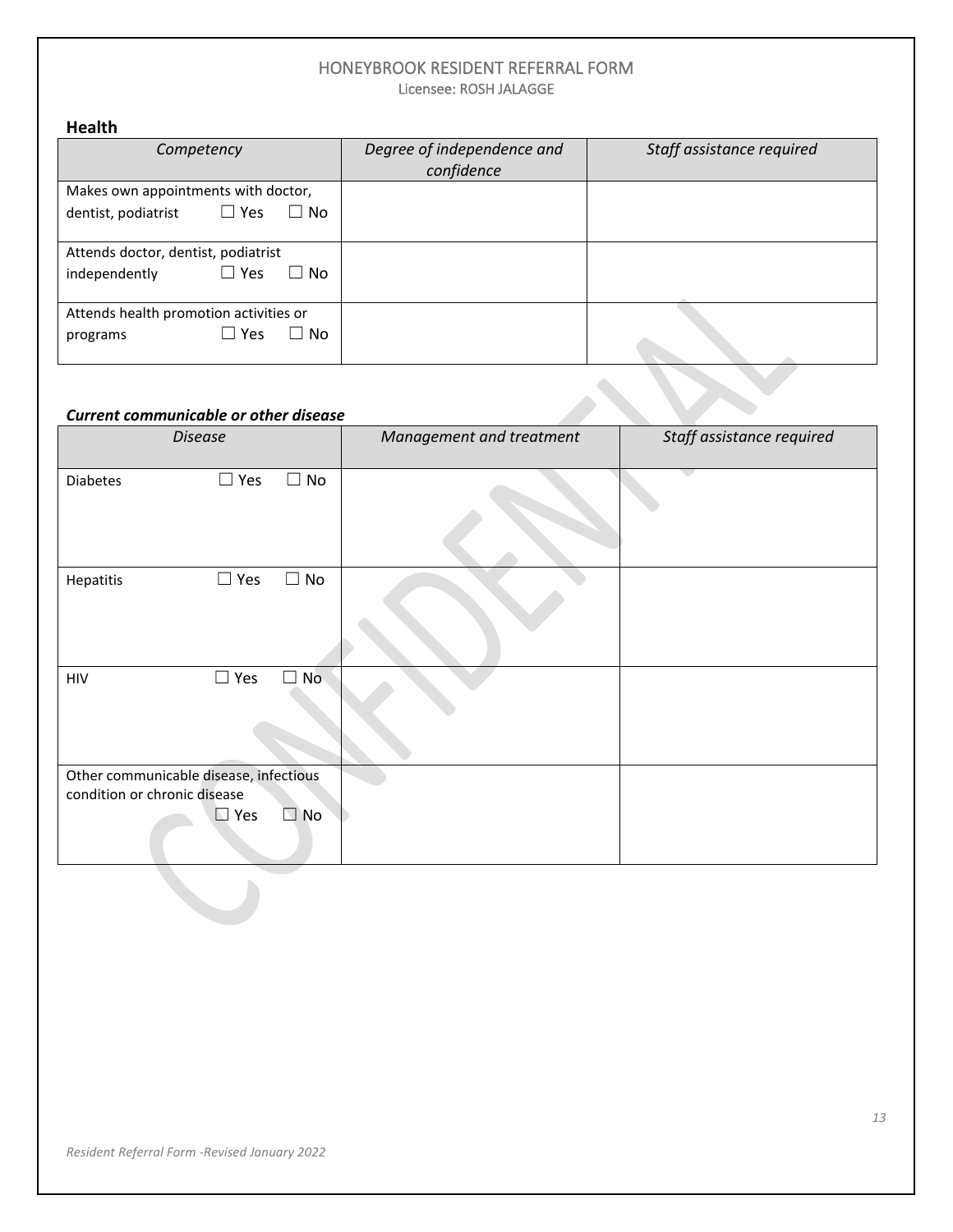| <b>Health</b>                                  |                            |                           |
|------------------------------------------------|----------------------------|---------------------------|
| Competency                                     | Degree of independence and | Staff assistance required |
|                                                | confidence                 |                           |
| Makes own appointments with doctor,            |                            |                           |
| $\Box$ Yes<br>$\Box$ No<br>dentist, podiatrist |                            |                           |
|                                                |                            |                           |
| Attends doctor, dentist, podiatrist            |                            |                           |
| $\Box$ Yes<br>$\Box$ No<br>independently       |                            |                           |
|                                                |                            |                           |
| Attends health promotion activities or         |                            |                           |
| $\Box$ No<br>$\sqcup$ Yes<br>programs          |                            |                           |
|                                                |                            |                           |

#### *Current communicable or other disease*

|                              | <b>Current communicable or other disease</b>         |              |                          |                           |
|------------------------------|------------------------------------------------------|--------------|--------------------------|---------------------------|
|                              | <b>Disease</b>                                       |              | Management and treatment | Staff assistance required |
| <b>Diabetes</b>              | $\Box$ Yes                                           | $\Box$ No    |                          |                           |
| Hepatitis                    | $\Box$ Yes                                           | $\Box$ No    |                          |                           |
| <b>HIV</b>                   | $\Box$ Yes                                           | $\Box$ No    |                          |                           |
| condition or chronic disease | Other communicable disease, infectious<br>$\Box$ Yes | $\square$ No |                          |                           |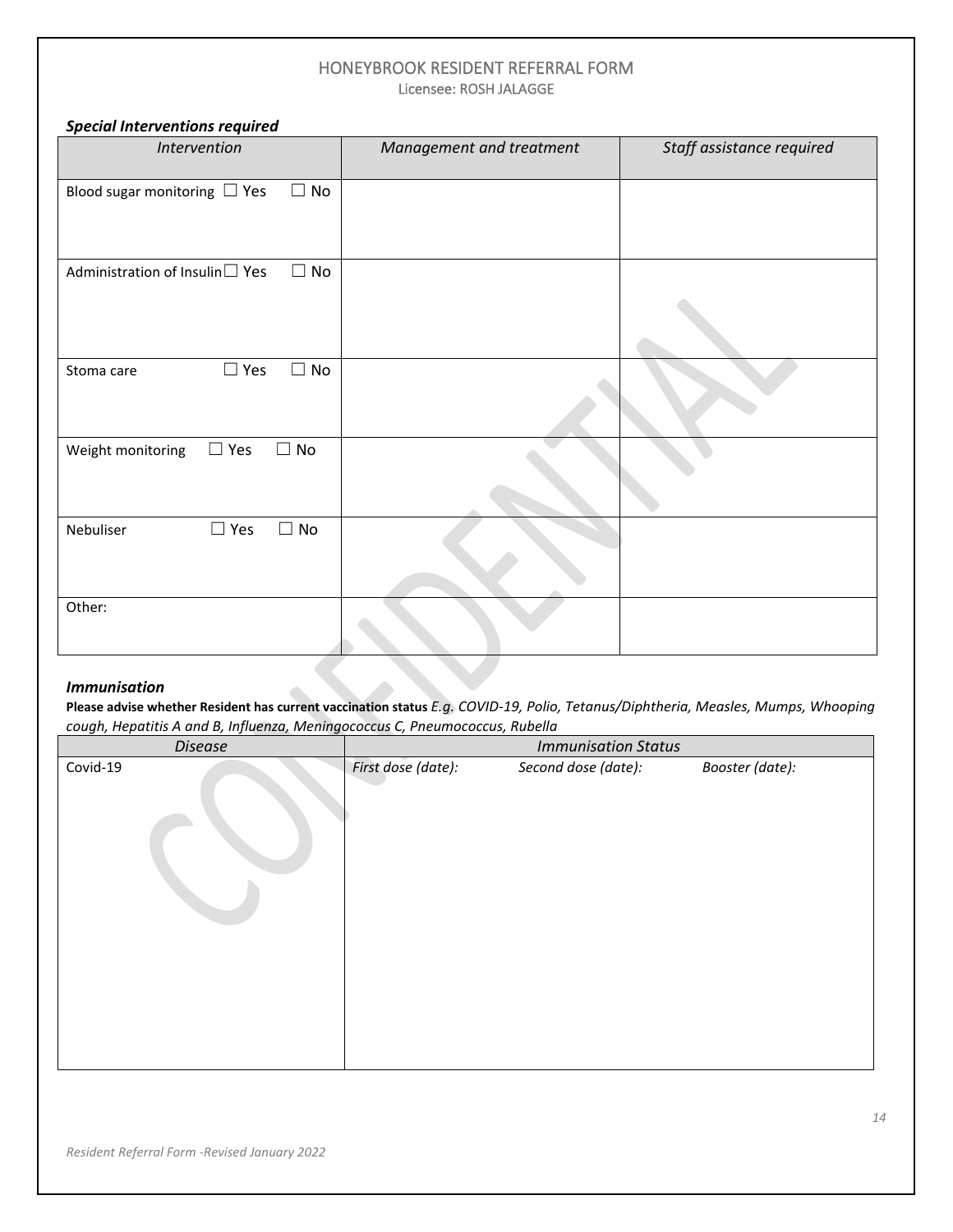| <b>Special Interventions required</b>          |                          |                           |
|------------------------------------------------|--------------------------|---------------------------|
| Intervention                                   | Management and treatment | Staff assistance required |
| Blood sugar monitoring $\Box$ Yes<br>$\Box$ No |                          |                           |
| Administration of Insulin□ Yes<br>$\Box$ No    |                          |                           |
| $\Box$ Yes<br>$\Box$ No<br>Stoma care          |                          |                           |
| $\Box$ No<br>$\Box$ Yes<br>Weight monitoring   |                          |                           |
| $\square$ Yes<br>$\Box$ No<br>Nebuliser        |                          |                           |
| Other:                                         |                          |                           |
|                                                |                          |                           |

#### *Immunisation*

**Please advise whether Resident has current vaccination status** *E.g. COVID-19, Polio, Tetanus/Diphtheria, Measles, Mumps, Whooping cough, Hepatitis A and B, Influenza, Meningococcus C, Pneumococcus, Rubella*

| <b>Disease</b> |                    | <b>Immunisation Status</b> |                 |
|----------------|--------------------|----------------------------|-----------------|
| Covid-19       | First dose (date): | Second dose (date):        | Booster (date): |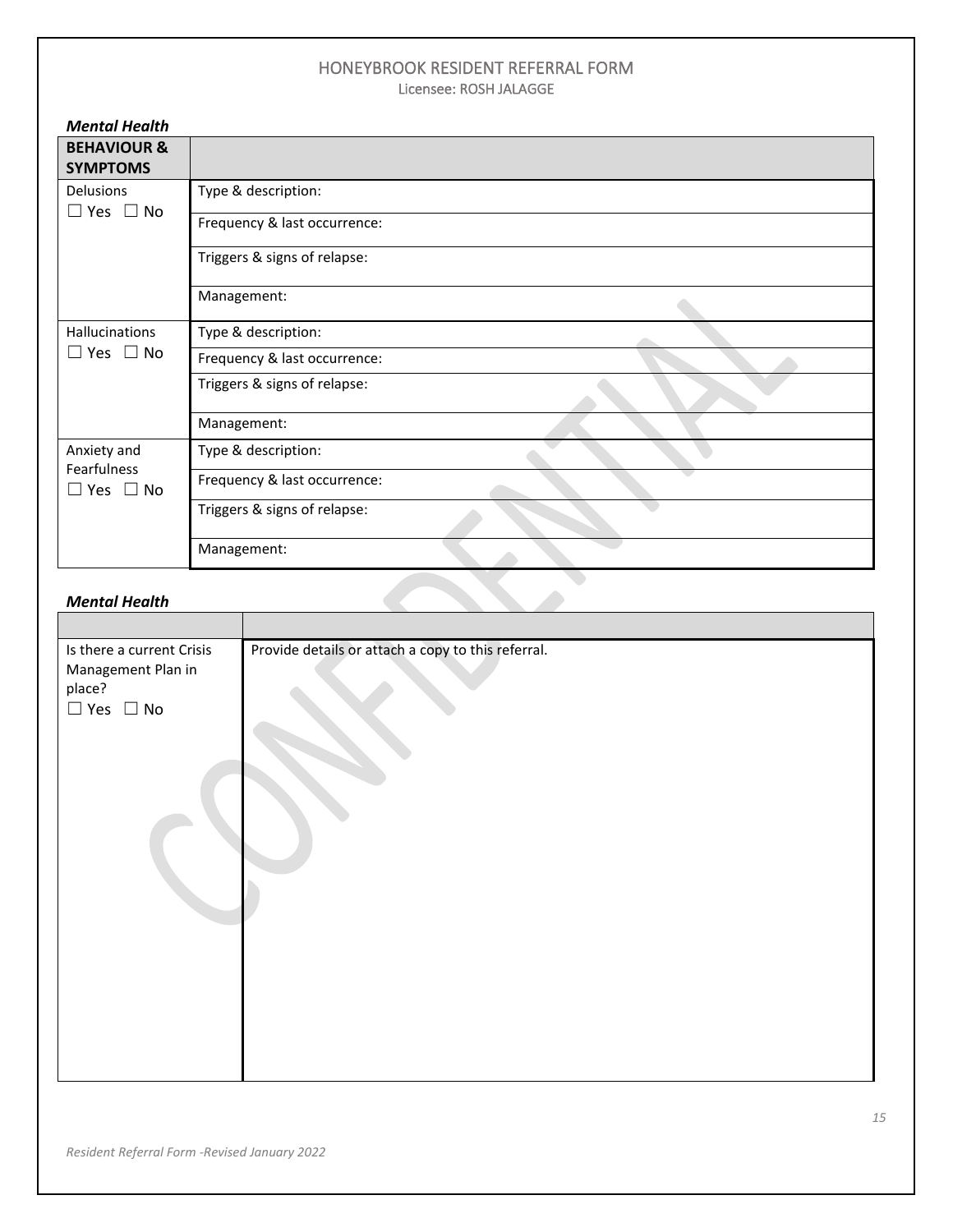| <b>Mental Health</b>                      |                              |
|-------------------------------------------|------------------------------|
| <b>BEHAVIOUR &amp;</b><br><b>SYMPTOMS</b> |                              |
| Delusions<br>$\Box$ Yes $\Box$ No         | Type & description:          |
|                                           | Frequency & last occurrence: |
|                                           | Triggers & signs of relapse: |
|                                           | Management:                  |
| Hallucinations                            | Type & description:          |
| $\Box$ Yes $\Box$ No                      | Frequency & last occurrence: |
|                                           | Triggers & signs of relapse: |
|                                           | Management:                  |
| Anxiety and                               | Type & description:          |
| Fearfulness<br>$\Box$ Yes $\Box$ No       | Frequency & last occurrence: |
|                                           | Triggers & signs of relapse: |
|                                           | Management:                  |
| <b>Mental Health</b>                      |                              |

#### *Mental Health*

| Is there a current Crisis  | Provide details or attach a copy to this referral. |
|----------------------------|----------------------------------------------------|
| Management Plan in         |                                                    |
| place?                     |                                                    |
| $\square$ Yes $\square$ No |                                                    |
|                            |                                                    |
|                            |                                                    |
|                            |                                                    |
|                            |                                                    |
|                            |                                                    |
|                            |                                                    |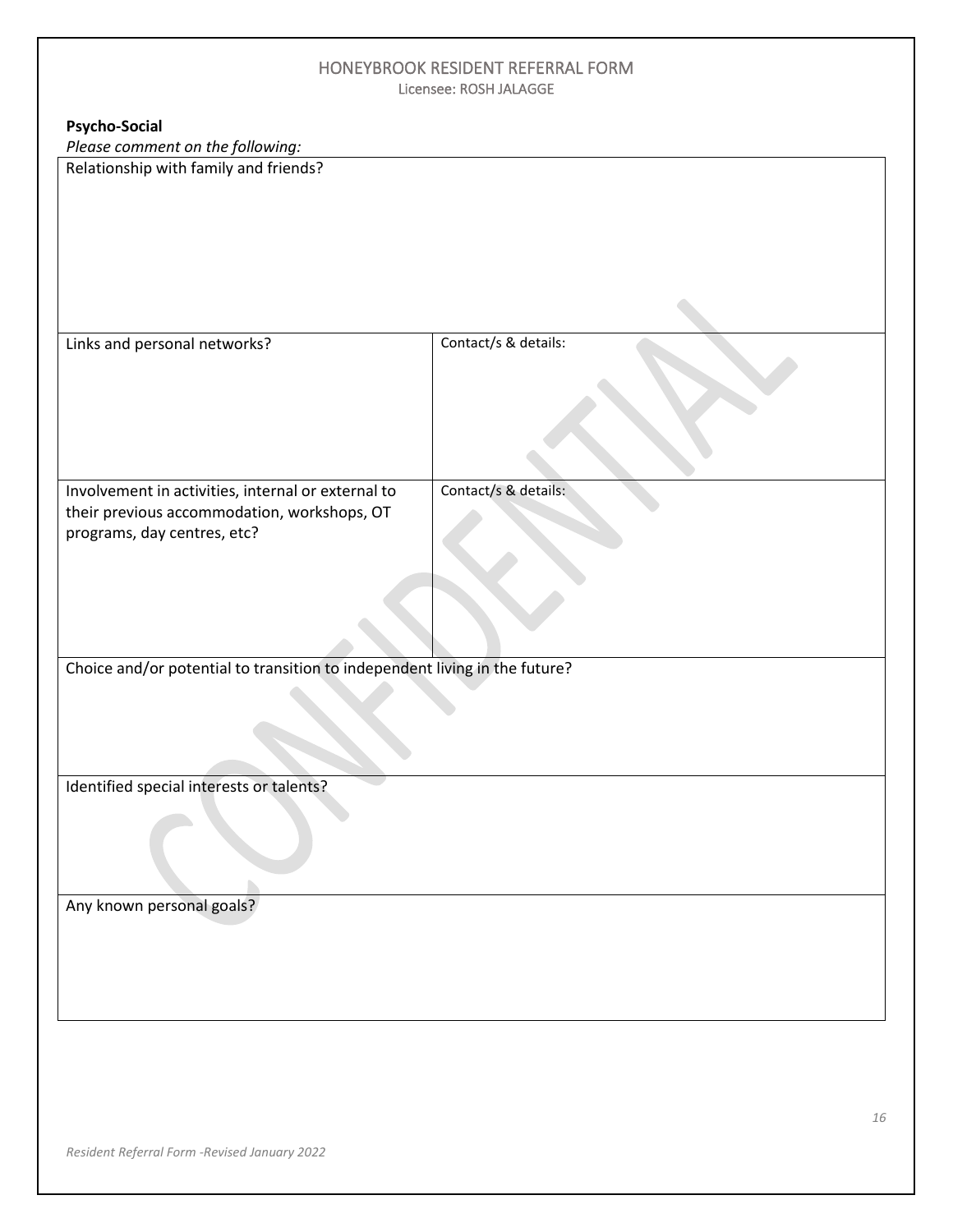**Psycho-Social**

*Please comment on the following:*

Relationship with family and friends?

| Links and personal networks?                                                                                                     | Contact/s & details: |
|----------------------------------------------------------------------------------------------------------------------------------|----------------------|
| Involvement in activities, internal or external to<br>their previous accommodation, workshops, OT<br>programs, day centres, etc? | Contact/s & details: |
| Choice and/or potential to transition to independent living in the future?                                                       |                      |
| Identified special interests or talents?                                                                                         |                      |
| Any known personal goals?                                                                                                        |                      |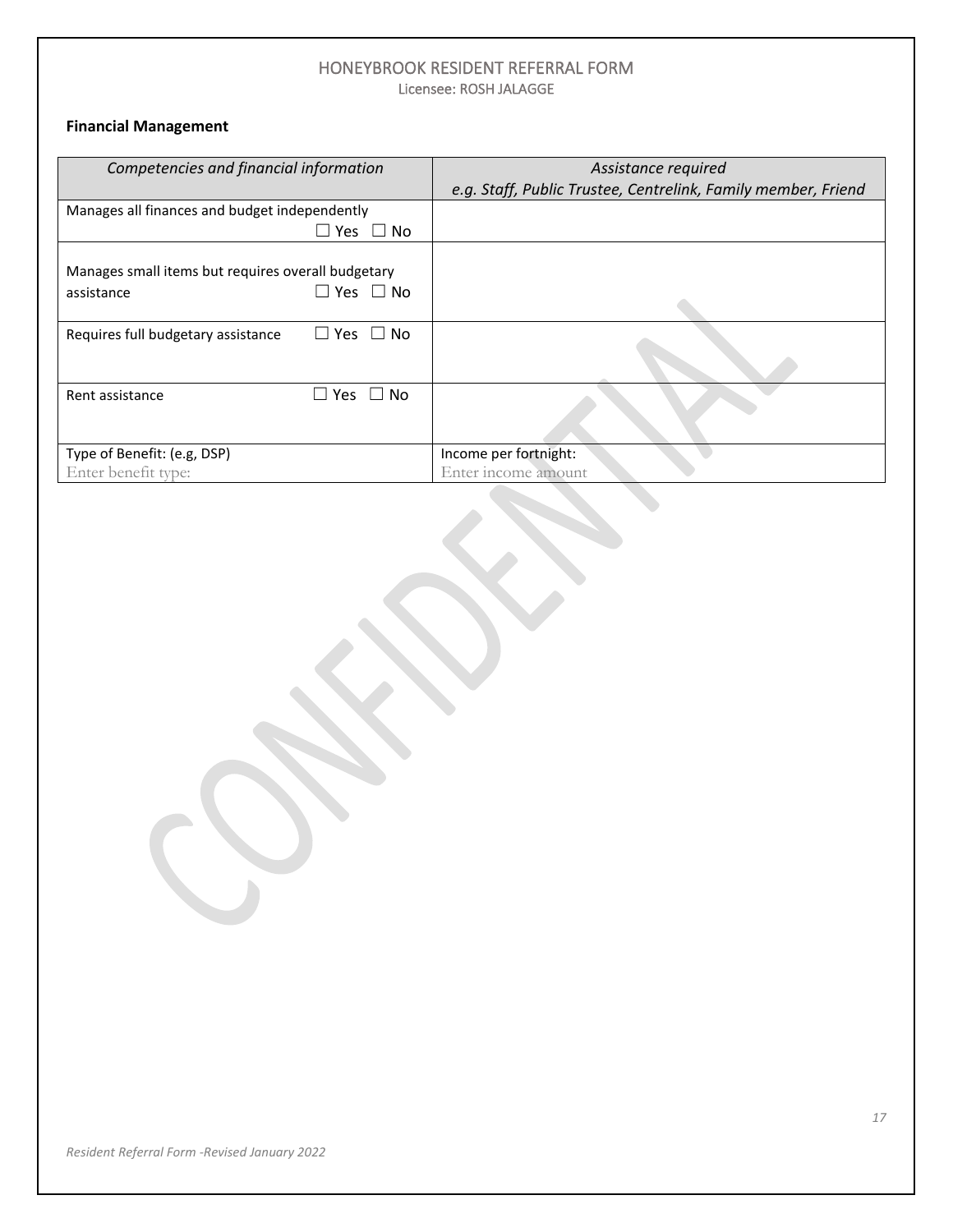### **Financial Management**

| Competencies and financial information             |                      | Assistance required                                           |
|----------------------------------------------------|----------------------|---------------------------------------------------------------|
|                                                    |                      | e.g. Staff, Public Trustee, Centrelink, Family member, Friend |
| Manages all finances and budget independently      |                      |                                                               |
|                                                    | $\Box$ Yes $\Box$ No |                                                               |
|                                                    |                      |                                                               |
| Manages small items but requires overall budgetary |                      |                                                               |
| assistance                                         | $\Box$ Yes $\Box$ No |                                                               |
|                                                    |                      |                                                               |
| Requires full budgetary assistance                 | $\Box$ Yes $\Box$ No |                                                               |
|                                                    |                      |                                                               |
| Rent assistance                                    | Yes<br>No.           |                                                               |
|                                                    |                      |                                                               |
|                                                    |                      |                                                               |
| Type of Benefit: (e.g, DSP)                        |                      | Income per fortnight:                                         |
| Enter benefit type:                                |                      | Enter income amount                                           |